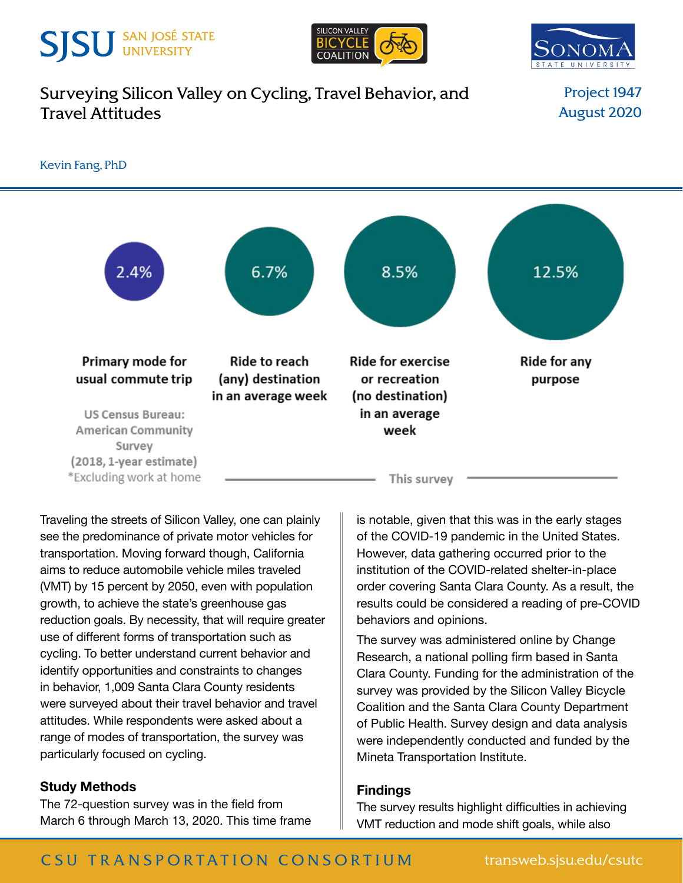# **SJSU** SAN JOSÉ STATE





## [Surveying Silicon Valley on Cycling, Travel Behavior, and](http://transweb.sjsu.edu/research/1947-Survey-Silicon-Valley-Cycling)  [Travel Attitudes](http://transweb.sjsu.edu/research/1947-Survey-Silicon-Valley-Cycling)

Project 1947 August 2020



Traveling the streets of Silicon Valley, one can plainly see the predominance of private motor vehicles for transportation. Moving forward though, California aims to reduce automobile vehicle miles traveled (VMT) by 15 percent by 2050, even with population growth, to achieve the state's greenhouse gas reduction goals. By necessity, that will require greater use of different forms of transportation such as cycling. To better understand current behavior and identify opportunities and constraints to changes in behavior, 1,009 Santa Clara County residents were surveyed about their travel behavior and travel attitudes. While respondents were asked about a range of modes of transportation, the survey was particularly focused on cycling.

## **Study Methods**

The 72-question survey was in the field from March 6 through March 13, 2020. This time frame is notable, given that this was in the early stages of the COVID-19 pandemic in the United States. However, data gathering occurred prior to the institution of the COVID-related shelter-in-place order covering Santa Clara County. As a result, the results could be considered a reading of pre-COVID behaviors and opinions.

The survey was administered online by Change Research, a national polling firm based in Santa Clara County. Funding for the administration of the survey was provided by the Silicon Valley Bicycle Coalition and the Santa Clara County Department of Public Health. Survey design and data analysis were independently conducted and funded by the Mineta Transportation Institute.

### **Findings**

The survey results highlight difficulties in achieving VMT reduction and mode shift goals, while also

## C SU TRANSPORTATION CONSORTIUM transweb.sjsu.edu/csutc